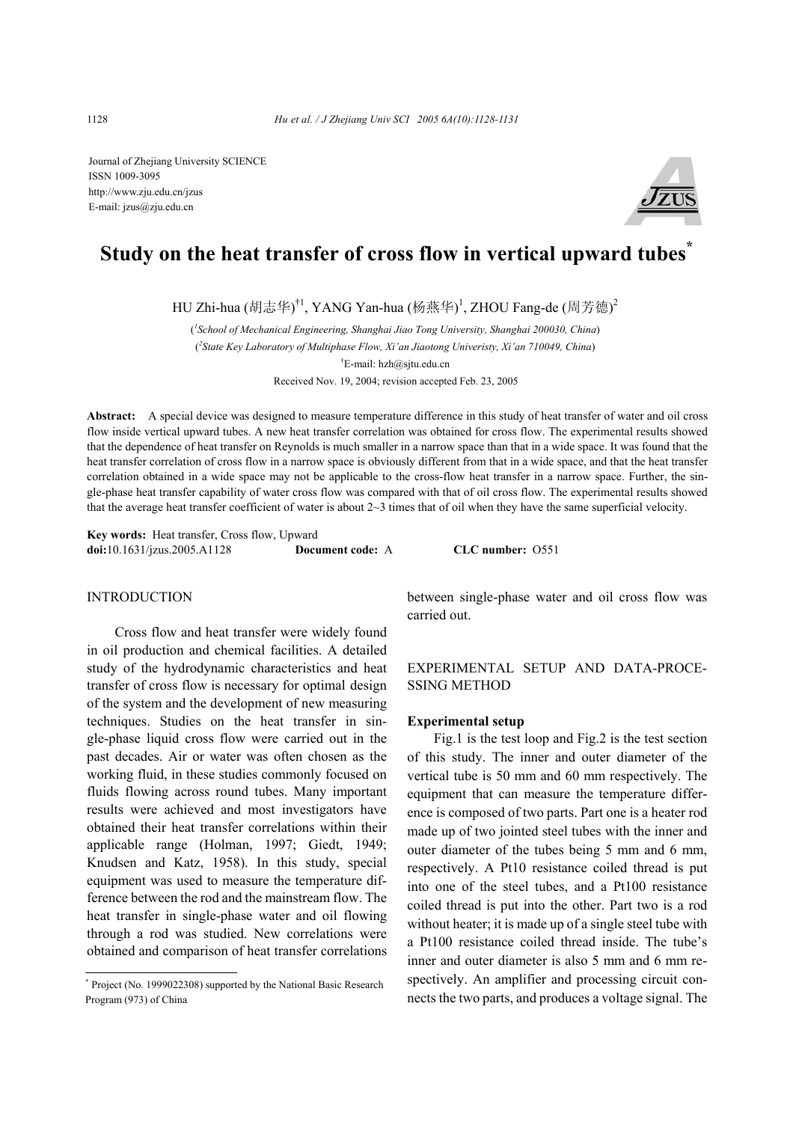Journal of Zhejiang University SCIENCE ISSN 1009-3095 http://www.zju.edu.cn/jzus E-mail: jzus@zju.edu.cn



# **Study on the heat transfer of cross flow in vertical upward tubes\***

HU Zhi-hua (胡志华)<sup>†1</sup>, YANG Yan-hua (杨燕华)<sup>1</sup>, ZHOU Fang-de (周芳德)<sup>2</sup>

( *1 School of Mechanical Engineering, Shanghai Jiao Tong University, Shanghai 200030, China*) ( *2 State Key Laboratory of Multiphase Flow, Xi'an Jiaotong Univeristy, Xi'an 710049, China*) <sup>†</sup>E-mail: hzh@sjtu.edu.cn Received Nov. 19, 2004; revision accepted Feb. 23, 2005

**Abstract:** A special device was designed to measure temperature difference in this study of heat transfer of water and oil cross flow inside vertical upward tubes. A new heat transfer correlation was obtained for cross flow. The experimental results showed that the dependence of heat transfer on Reynolds is much smaller in a narrow space than that in a wide space. It was found that the heat transfer correlation of cross flow in a narrow space is obviously different from that in a wide space, and that the heat transfer correlation obtained in a wide space may not be applicable to the cross-flow heat transfer in a narrow space. Further, the single-phase heat transfer capability of water cross flow was compared with that of oil cross flow. The experimental results showed that the average heat transfer coefficient of water is about  $2~3$  times that of oil when they have the same superficial velocity.

**Key words:** Heat transfer, Cross flow, Upward **doi:**10.1631/jzus.2005.A1128 **Document code:** A **CLC number:** O551

# **INTRODUCTION**

Cross flow and heat transfer were widely found in oil production and chemical facilities. A detailed study of the hydrodynamic characteristics and heat transfer of cross flow is necessary for optimal design of the system and the development of new measuring techniques. Studies on the heat transfer in single-phase liquid cross flow were carried out in the past decades. Air or water was often chosen as the working fluid, in these studies commonly focused on fluids flowing across round tubes. Many important results were achieved and most investigators have obtained their heat transfer correlations within their applicable range (Holman, 1997; Giedt, 1949; Knudsen and Katz, 1958). In this study, special equipment was used to measure the temperature difference between the rod and the mainstream flow. The heat transfer in single-phase water and oil flowing through a rod was studied. New correlations were obtained and comparison of heat transfer correlations between single-phase water and oil cross flow was carried out.

# EXPERIMENTAL SETUP AND DATA-PROCE-SSING METHOD

## **Experimental setup**

Fig.1 is the test loop and Fig.2 is the test section of this study. The inner and outer diameter of the vertical tube is 50 mm and 60 mm respectively. The equipment that can measure the temperature difference is composed of two parts. Part one is a heater rod made up of two jointed steel tubes with the inner and outer diameter of the tubes being 5 mm and 6 mm, respectively. A Pt10 resistance coiled thread is put into one of the steel tubes, and a Pt100 resistance coiled thread is put into the other. Part two is a rod without heater; it is made up of a single steel tube with a Pt100 resistance coiled thread inside. The tube's inner and outer diameter is also 5 mm and 6 mm respectively. An amplifier and processing circuit connects the two parts, and produces a voltage signal. The

<sup>\*</sup> Project (No. 1999022308) supported by the National Basic Research Program (973) of China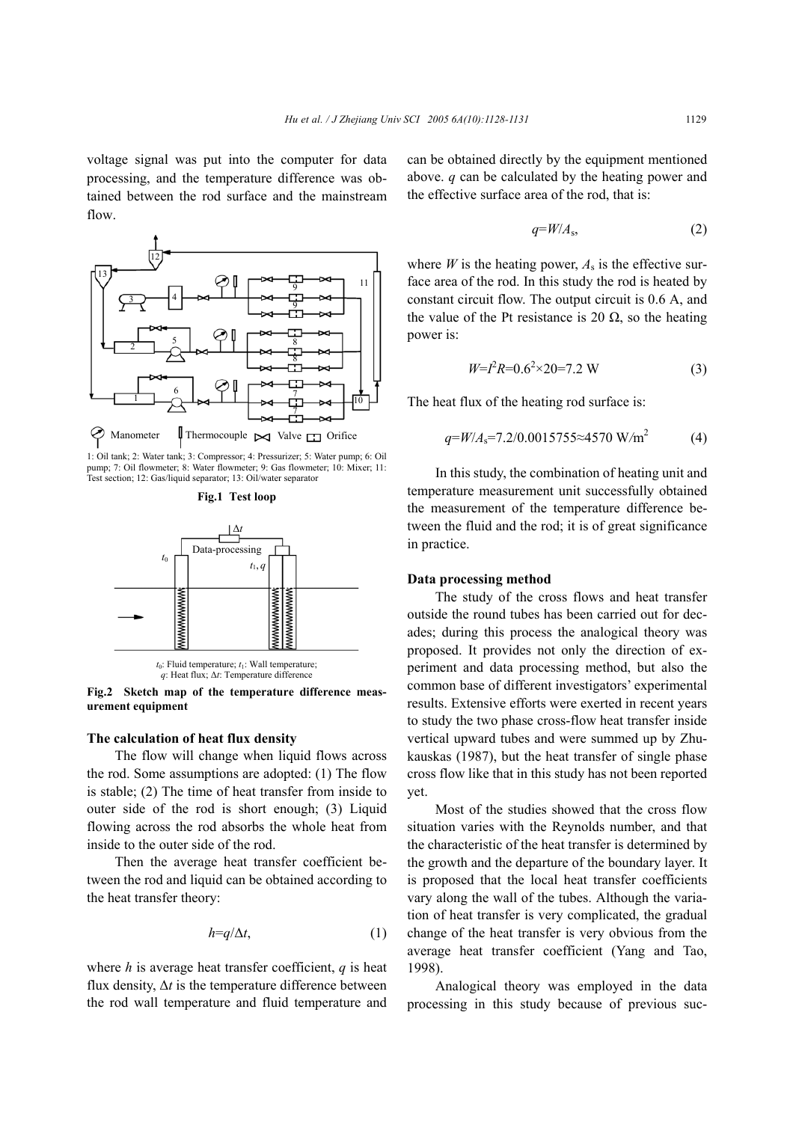voltage signal was put into the computer for data processing, and the temperature difference was obtained between the rod surface and the mainstream flow.



1: Oil tank; 2: Water tank; 3: Compressor; 4: Pressurizer; 5: Water pump; 6: Oil pump; 7: Oil flowmeter; 8: Water flowmeter; 9: Gas flowmeter; 10: Mixer; 11: Test section; 12: Gas/liquid separator; 13: Oil/water separator





**Fig.2 Sketch map of the temperature difference measurement equipment**

#### **The calculation of heat flux density**

The flow will change when liquid flows across the rod. Some assumptions are adopted: (1) The flow is stable; (2) The time of heat transfer from inside to outer side of the rod is short enough; (3) Liquid flowing across the rod absorbs the whole heat from inside to the outer side of the rod.

Then the average heat transfer coefficient between the rod and liquid can be obtained according to the heat transfer theory:

$$
h=q/\Delta t, \qquad (1)
$$

where  $h$  is average heat transfer coefficient,  $q$  is heat flux density,  $\Delta t$  is the temperature difference between the rod wall temperature and fluid temperature and can be obtained directly by the equipment mentioned above. *q* can be calculated by the heating power and the effective surface area of the rod, that is:

$$
q = W/A_s,\tag{2}
$$

where *W* is the heating power,  $A_s$  is the effective surface area of the rod. In this study the rod is heated by constant circuit flow. The output circuit is 0.6 A, and the value of the Pt resistance is 20  $\Omega$ , so the heating power is:

$$
W = I^2 R = 0.6^2 \times 20 = 7.2 \text{ W}
$$
 (3)

The heat flux of the heating rod surface is:

$$
q = W/A_s = 7.2/0.0015755 \approx 4570 \text{ W/m}^2 \tag{4}
$$

In this study, the combination of heating unit and temperature measurement unit successfully obtained the measurement of the temperature difference between the fluid and the rod; it is of great significance in practice.

#### **Data processing method**

The study of the cross flows and heat transfer outside the round tubes has been carried out for decades; during this process the analogical theory was proposed. It provides not only the direction of experiment and data processing method, but also the common base of different investigators' experimental results. Extensive efforts were exerted in recent years to study the two phase cross-flow heat transfer inside vertical upward tubes and were summed up by Zhukauskas (1987), but the heat transfer of single phase cross flow like that in this study has not been reported yet.

Most of the studies showed that the cross flow situation varies with the Reynolds number, and that the characteristic of the heat transfer is determined by the growth and the departure of the boundary layer. It is proposed that the local heat transfer coefficients vary along the wall of the tubes. Although the variation of heat transfer is very complicated, the gradual change of the heat transfer is very obvious from the average heat transfer coefficient (Yang and Tao, 1998).

Analogical theory was employed in the data processing in this study because of previous suc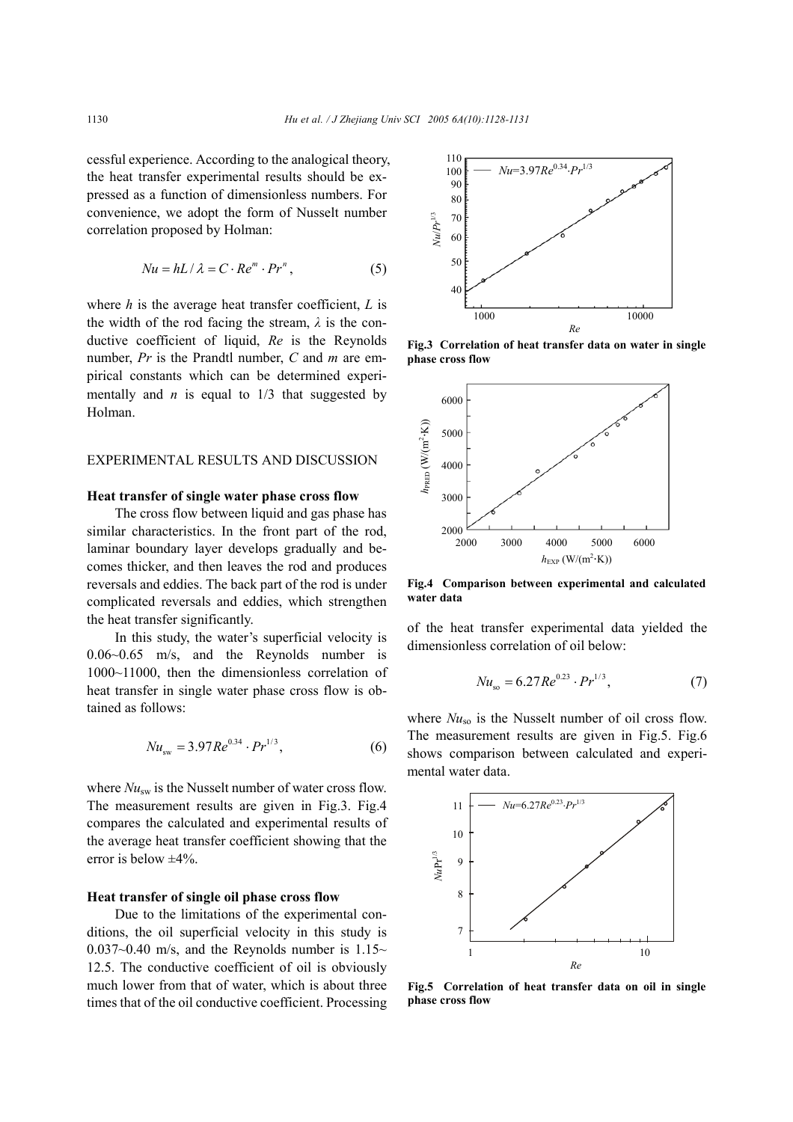cessful experience. According to the analogical theory, the heat transfer experimental results should be expressed as a function of dimensionless numbers. For convenience, we adopt the form of Nusselt number correlation proposed by Holman:

$$
Nu = hL / \lambda = C \cdot Re^{m} \cdot Pr^{n}, \qquad (5)
$$

where *h* is the average heat transfer coefficient, *L* is the width of the rod facing the stream,  $\lambda$  is the conductive coefficient of liquid, *Re* is the Reynolds number, *Pr* is the Prandtl number, *C* and *m* are empirical constants which can be determined experimentally and  $n$  is equal to  $1/3$  that suggested by Holman.

## EXPERIMENTAL RESULTS AND DISCUSSION

## **Heat transfer of single water phase cross flow**

The cross flow between liquid and gas phase has similar characteristics. In the front part of the rod, laminar boundary layer develops gradually and becomes thicker, and then leaves the rod and produces reversals and eddies. The back part of the rod is under complicated reversals and eddies, which strengthen the heat transfer significantly.

In this study, the water's superficial velocity is 0.06~0.65 m/s, and the Reynolds number is 1000~11000, then the dimensionless correlation of heat transfer in single water phase cross flow is obtained as follows:

$$
Nu_{\rm sw} = 3.97Re^{0.34} \cdot Pr^{1/3},\tag{6}
$$

where  $Nu_{sw}$  is the Nusselt number of water cross flow. The measurement results are given in Fig.3. Fig.4 compares the calculated and experimental results of the average heat transfer coefficient showing that the error is below  $\pm 4\%$ .

## **Heat transfer of single oil phase cross flow**

Due to the limitations of the experimental conditions, the oil superficial velocity in this study is  $0.037~0.40$  m/s, and the Reynolds number is 1.15~ 12.5. The conductive coefficient of oil is obviously much lower from that of water, which is about three times that of the oil conductive coefficient. Processing



**Fig.3 Correlation of heat transfer data on water in single phase cross flow**



**Fig.4 Comparison between experimental and calculated water data**

of the heat transfer experimental data yielded the dimensionless correlation of oil below:

$$
Nu_{\rm so} = 6.27 Re^{0.23} \cdot Pr^{1/3},\tag{7}
$$

where  $Nu_{so}$  is the Nusselt number of oil cross flow. The measurement results are given in Fig.5. Fig.6 shows comparison between calculated and experimental water data.



**Fig.5 Correlation of heat transfer data on oil in single phase cross flow**